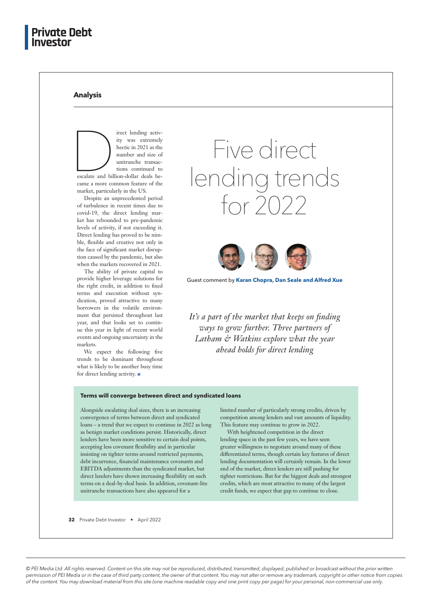## **Analysis**

First lending activity was extremely<br>hectic in 2021 as the<br>number and size of<br>unitranche transac-<br>tions continued to<br>escalate and billion-dollar deals beity was extremely hectic in 2021 as the number and size of unitranche transactions continued to escalate and billion-dollar deals became a more common feature of the market, particularly in the US.

Despite an unprecedented period of turbulence in recent times due to covid-19, the direct lending market has rebounded to pre-pandemic levels of activity, if not exceeding it. Direct lending has proved to be nimble, flexible and creative not only in the face of significant market disruption caused by the pandemic, but also when the markets recovered in 2021.

The ability of private capital to provide higher leverage solutions for the right credit, in addition to fixed terms and execution without syndication, proved attractive to many borrowers in the volatile environment that persisted throughout last year, and that looks set to continue this year in light of recent world events and ongoing uncertainty in the markets.

We expect the following five trends to be dominant throughout what is likely to be another busy time for direct lending activity.

# Five direct lending trends  $for 7022$



Guest comment by **Karan Chopra, Dan Seale and Alfred Xue**

It's a part of the market that keeps on finding *ways to grow further. Three partners of Latham & Watkins explore what the year ahead holds for direct lending* 

#### **Terms will converge between direct and syndicated loans**

Alongside escalating deal sizes, there is an increasing convergence of terms between direct and syndicated loans – a trend that we expect to continue in 2022 as long as benign market conditions persist. Historically, direct lenders have been more sensitive to certain deal points, accepting less covenant flexibility and in particular insisting on tighter terms around restricted payments, debt incurrence, financial maintenance covenants and EBITDA adjustments than the syndicated market, but direct lenders have shown increasing flexibility on such terms on a deal-by-deal basis. In addition, covenant-lite unitranche transactions have also appeared for a

limited number of particularly strong credits, driven by competition among lenders and vast amounts of liquidity. This feature may continue to grow in 2022.

With heightened competition in the direct lending space in the past few years, we have seen greater willingness to negotiate around many of these differentiated terms, though certain key features of direct lending documentation will certainly remain. In the lower end of the market, direct lenders are still pushing for tighter restrictions. But for the biggest deals and strongest credits, which are most attractive to many of the largest credit funds, we expect that gap to continue to close.

**32** Private Debt Investor • April 2022

*© PEI Media Ltd. All rights reserved. Content on this site may not be reproduced, distributed, transmitted, displayed, published or broadcast without the prior written permission of PEI Media or in the case of third party content, the owner of that content. You may not alter or remove any trademark, copyright or other notice from copies of the content. You may download material from this site (one machine readable copy and one print copy per page) for your personal, non-commercial use only.*